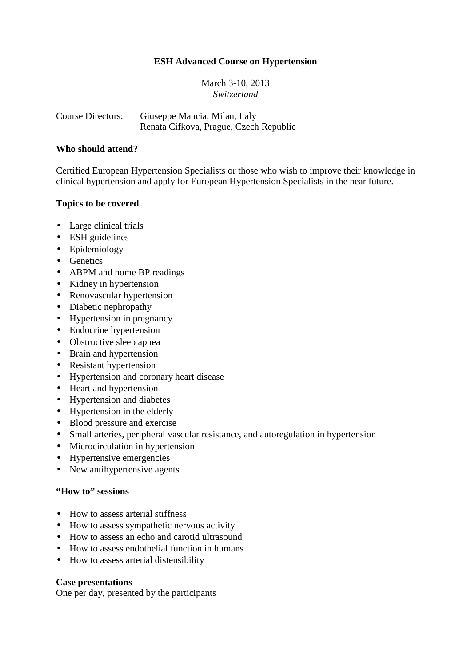## **ESH Advanced Course on Hypertension**

March 3-10, 2013 *Switzerland* 

Course Directors: Giuseppe Mancia, Milan, Italy Renata Cifkova, Prague, Czech Republic

### **Who should attend?**

Certified European Hypertension Specialists or those who wish to improve their knowledge in clinical hypertension and apply for European Hypertension Specialists in the near future.

## **Topics to be covered**

- Large clinical trials
- ESH guidelines
- Epidemiology
- Genetics
- ABPM and home BP readings
- Kidney in hypertension
- Renovascular hypertension
- Diabetic nephropathy
- Hypertension in pregnancy
- Endocrine hypertension
- Obstructive sleep apnea
- Brain and hypertension
- Resistant hypertension
- Hypertension and coronary heart disease
- Heart and hypertension
- Hypertension and diabetes
- Hypertension in the elderly
- Blood pressure and exercise
- Small arteries, peripheral vascular resistance, and autoregulation in hypertension
- Microcirculation in hypertension
- Hypertensive emergencies
- New antihypertensive agents

## **"How to" sessions**

- How to assess arterial stiffness
- How to assess sympathetic nervous activity
- How to assess an echo and carotid ultrasound
- How to assess endothelial function in humans
- How to assess arterial distensibility

#### **Case presentations**

One per day, presented by the participants